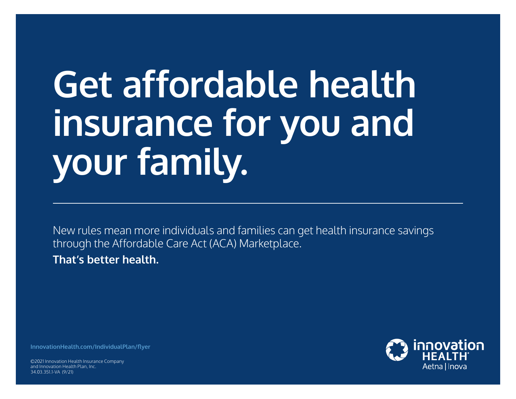## **Get affordable health insurance for you and your family.**

New rules mean more individuals and families can get health insurance savings through the Affordable Care Act (ACA) Marketplace. **That's better health.** 

**[InnovationHealth.com/IndividualPlan/flyer](http://www.InnovationHealth.com/IndividualPlan/flyer)**

©2021 Innovation Health Insurance Company and Innovation Health Plan, Inc. 34.03.351.1-VA (9/21)

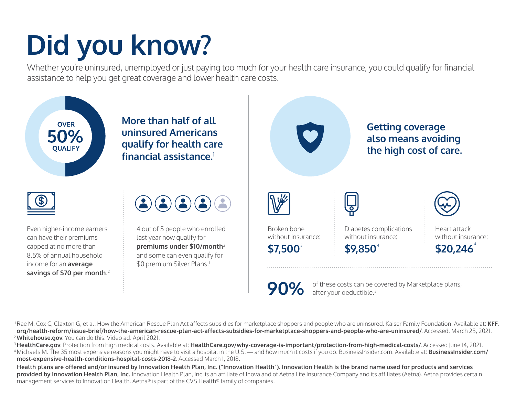## **Did you know?**

Whether you're uninsured, unemployed or just paying too much for your health care insurance, you could qualify for financial assistance to help you get great coverage and lower health care costs.



**[most-expensive-health-conditions-hospital-costs-2018-2](http://www.BusinessInsider.com/most-expensive-health-conditions-hospital-costs-2018-2)**. Accessed March 1, 2018.

**Health plans are offered and/or insured by Innovation Health Plan, Inc. ("Innovation Health"). Innovation Health is the brand name used for products and services provided by Innovation Health Plan, Inc.** Innovation Health Plan, Inc. is an affiliate of Inova and of Aetna Life Insurance Company and its affiliates (Aetna). Aetna provides certain management services to Innovation Health. Aetna® is part of the CVS Health® family of companies.